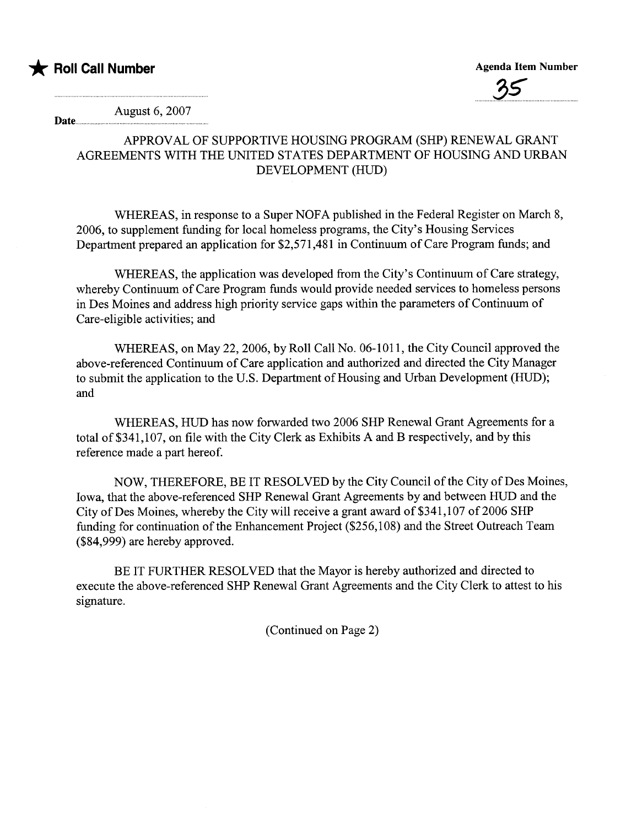

Date...............



August 6, 2007

## APPROVAL OF SUPPORTIVE HOUSING PROGRAM (SHP) RENEWAL GRANT AGREEMENTS WITH THE UNITED STATES DEPARTMENT OF HOUSING AND URBAN DEVELOPMENT (HUD)

WHEREAS, in response to a Super NOFA published in the Federal Register on March 8, 2006, to supplement fuding for local homeless programs, the City's Housing Services Department prepared an application for \$2,571,481 in Continuum of Care Program funds; and

WHEREAS, the application was developed from the City's Continuum of Care strategy, whereby Continuum of Care Program funds would provide needed services to homeless persons in Des Moines and address high priority service gaps within the parameters of Continuum of Care-eligible activities; and

WHEREAS, on May 22,2006, by Roll Call No. 06-1011, the City Council approved the above-referenced Continuum of Care application and authorized and directed the City Manager to submit the application to the U.S. Department of Housing and Urban Development (HUD); and

WHEREAS, HUD has now forwarded two 2006 SHP Renewal Grant Agreements for a total of \$341,107, on file with the City Clerk as Exhibits A and B respectively, and by this reference made a part hereof.

NOW, THEREFORE, BE IT RESOLVED by the City Council of the City of Des Moines, Iowa, that the above-referenced SHP Renewal Grant Agreements by and between HUD and the City of Des Moines, whereby the City will receive a grant award of \$341,107 of 2006 SHP funding for continuation of the Enhancement Project (\$256,108) and the Street Outreach Team (\$84,999) are hereby approved.

BE IT FURTHER RESOLVED that the Mayor is hereby authorized and directed to execute the above-referenced SHP Renewal Grant Agreements and the City Clerk to attest to his signature.

(Continued on Page 2)